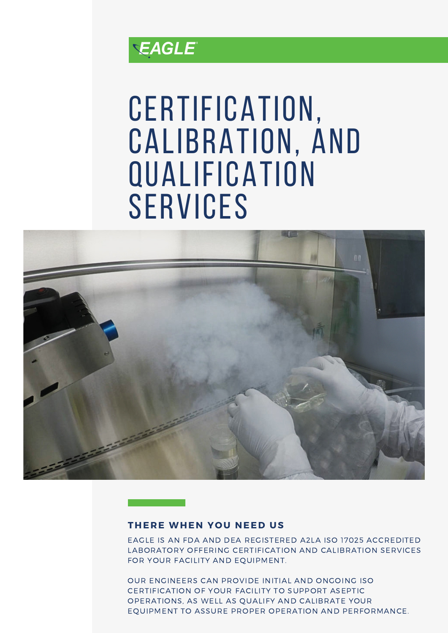

## CERTIFICATION, Calibration, and **QUALIFICATION SERVICES**



## **THERE WHEN Y O U NEED US**

EAGLE IS AN FDA AND DEA REGISTERED A2LA ISO 17025 ACCREDITED LABORATORY OFFERING CERTIFICATION AND CALIBRATION SERVICES FOR YOUR FACILITY AND EQUIPMENT.

OUR ENGINEERS CAN PROVIDE INITIAL AND ONGOING ISO CERTIFICATION OF YOUR FACILITY TO SUPPORT ASEPTIC OPERATIONS, AS WELL AS QUALIFY AND CALIBRATE YOUR EQUIPMENT TO ASSURE PROPER OPERATION AND PERFORMANCE.